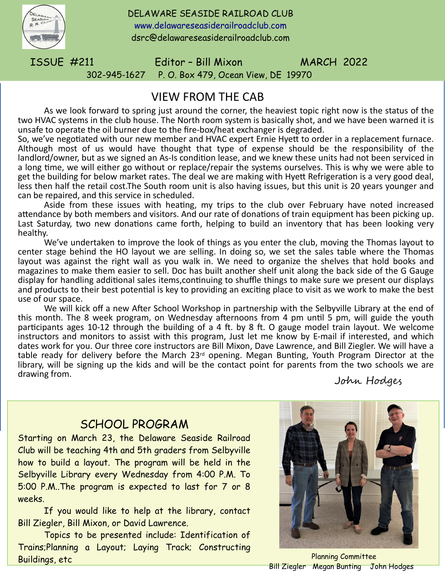

DELAWARE SEASIDE RAILROAD CLUB [www.delawareseasiderailroadclub.com](http://www.delawareseasiderailroadclub.com/) dsrc@delawareseasiderailroadclub.com

ISSUE #211 Editor – Bill Mixon MARCH 2022 302-945-1627 P. O. Box 479, Ocean View, DE 19970

## VIEW FROM THE CAB

As we look forward to spring just around the corner, the heaviest topic right now is the status of the two HVAC systems in the club house. The North room system is basically shot, and we have been warned it is unsafe to operate the oil burner due to the fire-box/heat exchanger is degraded.

So, we've negotiated with our new member and HVAC expert Ernie Hyett to order in a replacement furnace. Although most of us would have thought that type of expense should be the responsibility of the landlord/owner, but as we signed an As-Is condition lease, and we knew these units had not been serviced in a long time, we will either go without or replace/repair the systems ourselves. This is why we were able to get the building for below market rates. The deal we are making with Hyett Refrigeration is a very good deal, less then half the retail cost.The South room unit is also having issues, but this unit is 20 years younger and can be repaired, and this service in scheduled.

Aside from these issues with heating, my trips to the club over February have noted increased attendance by both members and visitors. And our rate of donations of train equipment has been picking up. Last Saturday, two new donations came forth, helping to build an inventory that has been looking very healthy.

We've undertaken to improve the look of things as you enter the club, moving the Thomas layout to center stage behind the HO layout we are selling. In doing so, we set the sales table where the Thomas layout was against the right wall as you walk in. We need to organize the shelves that hold books and magazines to make them easier to sell. Doc has built another shelf unit along the back side of the G Gauge display for handling additional sales items,continuing to shuffle things to make sure we present our displays and products to their best potential is key to providing an exciting place to visit as we work to make the best use of our space.

We will kick off a new After School Workshop in partnership with the Selbyville Library at the end of this month. The 8 week program, on Wednesday afternoons from 4 pm until 5 pm, will guide the youth participants ages 10-12 through the building of a 4 ft. by 8 ft. O gauge model train layout. We welcome instructors and monitors to assist with this program, Just let me know by E-mail if interested, and which dates work for you. Our three core instructors are Bill Mixon, Dave Lawrence, and Bill Ziegler. We will have a table ready for delivery before the March 23<sup>rd</sup> opening. Megan Bunting, Youth Program Director at the library, will be signing up the kids and will be the contact point for parents from the two schools we are drawing from.

John Hodges

## SCHOOL PROGRAM

Starting on March 23, the Delaware Seaside Railroad Club will be teaching 4th and 5th graders from Selbyville how to build a layout. The program will be held in the Selbyville Library every Wednesday from 4:00 P.M. To 5:00 P.M..The program is expected to last for 7 or 8 weeks.

If you would like to help at the library, contact Bill Ziegler, Bill Mixon, or David Lawrence.

Topics to be presented include: Identification of Trains;Planning a Layout; Laying Track; Constructing Buildings, etc



Planning Committee Bill Ziegler Megan Bunting John Hodges